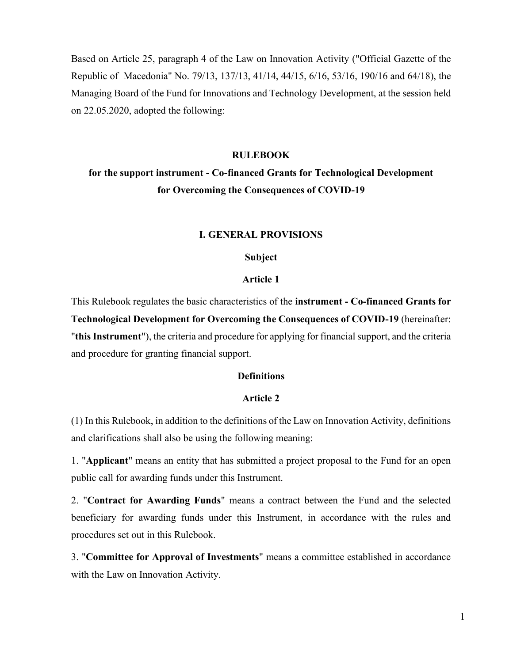Based on Article 25, paragraph 4 of the Law on Innovation Activity ("Official Gazette of the Republic of Macedonia" No. 79/13, 137/13, 41/14, 44/15, 6/16, 53/16, 190/16 and 64/18), the Managing Board of the Fund for Innovations and Technology Development, at the session held on 22.05.2020, adopted the following:

#### **RULEBOOK**

# **for the support instrument - Co-financed Grants for Technological Development for Overcoming the Consequences of COVID-19**

## **I. GENERAL PROVISIONS**

## **Subject**

## **Article 1**

This Rulebook regulates the basic characteristics of the **instrument - Co-financed Grants for Technological Development for Overcoming the Consequences of COVID-19** (hereinafter: "**this Instrument**"), the criteria and procedure for applying for financial support, and the criteria and procedure for granting financial support.

### **Definitions**

## **Article 2**

(1) In this Rulebook, in addition to the definitions of the Law on Innovation Activity, definitions and clarifications shall also be using the following meaning:

1. "**Applicant**" means an entity that has submitted a project proposal to the Fund for an open public call for awarding funds under this Instrument.

2. "**Contract for Awarding Funds**" means a contract between the Fund and the selected beneficiary for awarding funds under this Instrument, in accordance with the rules and procedures set out in this Rulebook.

3. "**Committee for Approval of Investments**" means a committee established in accordance with the Law on Innovation Activity.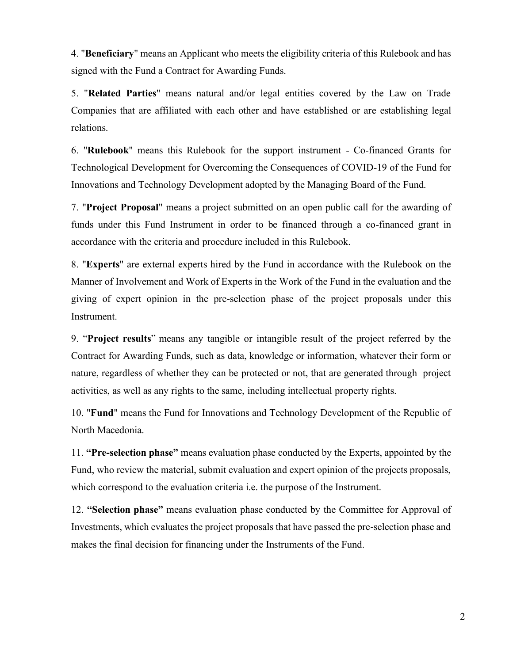4. "**Beneficiary**" means an Applicant who meets the eligibility criteria of this Rulebook and has signed with the Fund a Contract for Awarding Funds.

5. "**Related Parties**" means natural and/or legal entities covered by the Law on Trade Companies that are affiliated with each other and have established or are establishing legal relations.

6. "**Rulebook**" means this Rulebook for the support instrument - Co-financed Grants for Technological Development for Overcoming the Consequences of COVID-19 of the Fund for Innovations and Technology Development adopted by the Managing Board of the Fund.

7. "**Project Proposal**" means a project submitted on an open public call for the awarding of funds under this Fund Instrument in order to be financed through a co-financed grant in accordance with the criteria and procedure included in this Rulebook.

8. "**Experts**" are external experts hired by the Fund in accordance with the Rulebook on the Manner of Involvement and Work of Experts in the Work of the Fund in the evaluation and the giving of expert opinion in the pre-selection phase of the project proposals under this Instrument.

9. "**Project results**" means any tangible or intangible result of the project referred by the Contract for Awarding Funds, such as data, knowledge or information, whatever their form or nature, regardless of whether they can be protected or not, that are generated through project activities, as well as any rights to the same, including intellectual property rights.

10. "**Fund**" means the Fund for Innovations and Technology Development of the Republic of North Macedonia.

11. **"Pre-selection phase"** means evaluation phase conducted by the Experts, appointed by the Fund, who review the material, submit evaluation and expert opinion of the projects proposals, which correspond to the evaluation criteria i.e. the purpose of the Instrument.

12. **"Selection phase"** means evaluation phase conducted by the Committee for Approval of Investments, which evaluates the project proposals that have passed the pre-selection phase and makes the final decision for financing under the Instruments of the Fund.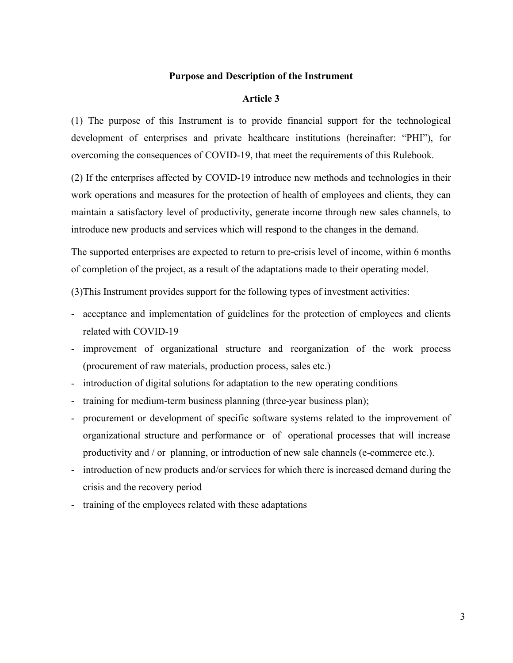## **Purpose and Description of the Instrument**

#### **Article 3**

(1) The purpose of this Instrument is to provide financial support for the technological development of enterprises and private healthcare institutions (hereinafter: "PHI"), for overcoming the consequences of COVID-19, that meet the requirements of this Rulebook.

(2) If the enterprises affected by COVID-19 introduce new methods and technologies in their work operations and measures for the protection of health of employees and clients, they can maintain a satisfactory level of productivity, generate income through new sales channels, to introduce new products and services which will respond to the changes in the demand.

The supported enterprises are expected to return to pre-crisis level of income, within 6 months of completion of the project, as a result of the adaptations made to their operating model.

(3)This Instrument provides support for the following types of investment activities:

- acceptance and implementation of guidelines for the protection of employees and clients related with COVID-19
- improvement of organizational structure and reorganization of the work process (procurement of raw materials, production process, sales etc.)
- introduction of digital solutions for adaptation to the new operating conditions
- training for medium-term business planning (three-year business plan);
- procurement or development of specific software systems related to the improvement of organizational structure and performance or of operational processes that will increase productivity and / or planning, or introduction of new sale channels (e-commerce etc.).
- introduction of new products and/or services for which there is increased demand during the crisis and the recovery period
- training of the employees related with these adaptations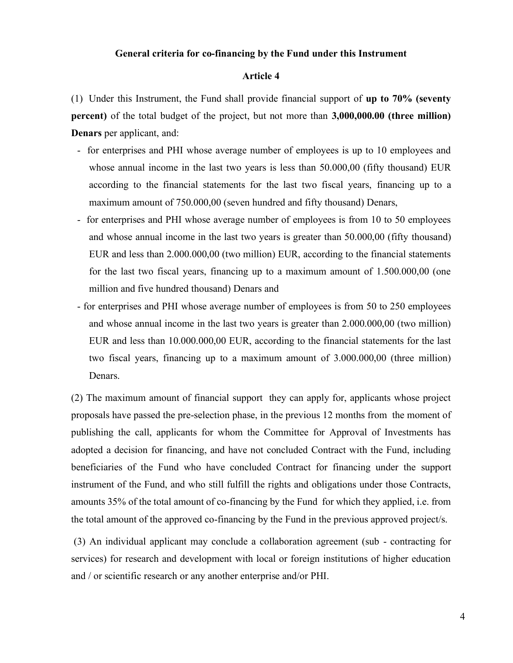## **General criteria for co-financing by the Fund under this Instrument**

#### **Article 4**

(1) Under this Instrument, the Fund shall provide financial support of **up to 70% (seventy percent)** of the total budget of the project, but not more than **3,000,000.00 (three million) Denars** per applicant, and:

- for enterprises and PHI whose average number of employees is up to 10 employees and whose annual income in the last two years is less than 50.000,00 (fifty thousand) EUR according to the financial statements for the last two fiscal years, financing up to a maximum amount of 750.000,00 (seven hundred and fifty thousand) Denars,
- for enterprises and PHI whose average number of employees is from 10 to 50 employees and whose annual income in the last two years is greater than 50.000,00 (fifty thousand) EUR and less than 2.000.000,00 (two million) EUR, according to the financial statements for the last two fiscal years, financing up to a maximum amount of 1.500.000,00 (one million and five hundred thousand) Denars and
- for enterprises and PHI whose average number of employees is from 50 to 250 employees and whose annual income in the last two years is greater than 2.000.000,00 (two million) EUR and less than 10.000.000,00 EUR, according to the financial statements for the last two fiscal years, financing up to a maximum amount of 3.000.000,00 (three million) Denars.

(2) The maximum amount of financial support they can apply for, applicants whose project proposals have passed the pre-selection phase, in the previous 12 months from the moment of publishing the call, applicants for whom the Committee for Approval of Investments has adopted a decision for financing, and have not concluded Contract with the Fund, including beneficiaries of the Fund who have concluded Contract for financing under the support instrument of the Fund, and who still fulfill the rights and obligations under those Contracts, amounts 35% of the total amount of co-financing by the Fund for which they applied, i.e. from the total amount of the approved co-financing by the Fund in the previous approved project/s.

(3) An individual applicant may conclude a collaboration agreement (sub - contracting for services) for research and development with local or foreign institutions of higher education and / or scientific research or any another enterprise and/or PHI.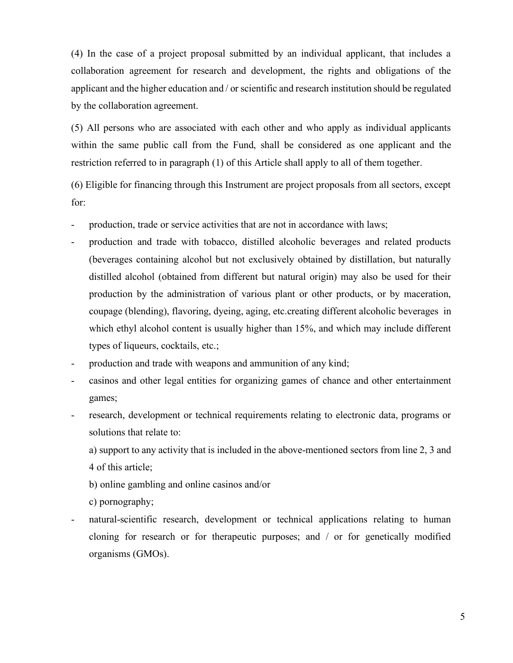(4) In the case of a project proposal submitted by an individual applicant, that includes a collaboration agreement for research and development, the rights and obligations of the applicant and the higher education and / or scientific and research institution should be regulated by the collaboration agreement.

(5) All persons who are associated with each other and who apply as individual applicants within the same public call from the Fund, shall be considered as one applicant and the restriction referred to in paragraph (1) of this Article shall apply to all of them together.

(6) Eligible for financing through this Instrument are project proposals from all sectors, except for:

- production, trade or service activities that are not in accordance with laws;
- production and trade with tobacco, distilled alcoholic beverages and related products (beverages containing alcohol but not exclusively obtained by distillation, but naturally distilled alcohol (obtained from different but natural origin) may also be used for their production by the administration of various plant or other products, or by maceration, coupage (blending), flavoring, dyeing, aging, etc.creating different alcoholic beverages in which ethyl alcohol content is usually higher than 15%, and which may include different types of liqueurs, cocktails, etc.;
- production and trade with weapons and ammunition of any kind;
- casinos and other legal entities for organizing games of chance and other entertainment games;
- research, development or technical requirements relating to electronic data, programs or solutions that relate to:

a) support to any activity that is included in the above-mentioned sectors from line 2, 3 and 4 of this article;

b) online gambling and online casinos and/or

c) pornography;

natural-scientific research, development or technical applications relating to human cloning for research or for therapeutic purposes; and / or for genetically modified organisms (GMOs).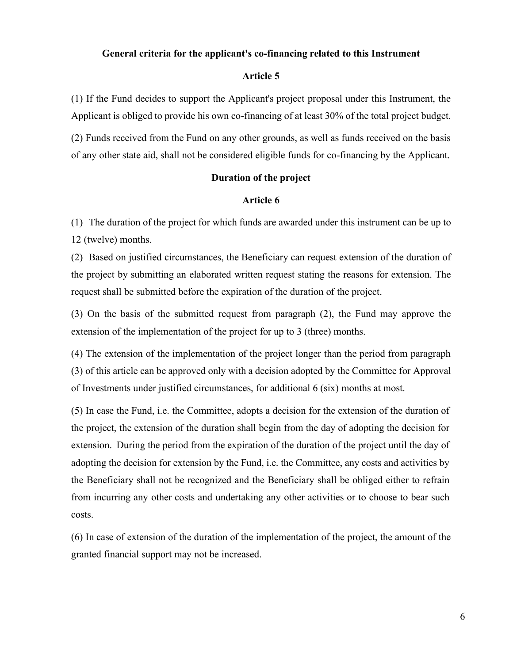## **General criteria for the applicant's co-financing related to this Instrument**

#### **Article 5**

(1) If the Fund decides to support the Applicant's project proposal under this Instrument, the Applicant is obliged to provide his own co-financing of at least 30% of the total project budget.

(2) Funds received from the Fund on any other grounds, as well as funds received on the basis of any other state aid, shall not be considered eligible funds for co-financing by the Applicant.

## **Duration of the project**

#### **Article 6**

(1) The duration of the project for which funds are awarded under this instrument can be up to 12 (twelve) months.

(2) Based on justified circumstances, the Beneficiary can request extension of the duration of the project by submitting an elaborated written request stating the reasons for extension. The request shall be submitted before the expiration of the duration of the project.

(3) On the basis of the submitted request from paragraph (2), the Fund may approve the extension of the implementation of the project for up to 3 (three) months.

(4) The extension of the implementation of the project longer than the period from paragraph (3) of this article can be approved only with a decision adopted by the Committee for Approval of Investments under justified circumstances, for additional 6 (six) months at most.

(5) In case the Fund, i.e. the Committee, adopts a decision for the extension of the duration of the project, the extension of the duration shall begin from the day of adopting the decision for extension. During the period from the expiration of the duration of the project until the day of adopting the decision for extension by the Fund, i.e. the Committee, any costs and activities by the Beneficiary shall not be recognized and the Beneficiary shall be obliged either to refrain from incurring any other costs and undertaking any other activities or to choose to bear such costs.

(6) In case of extension of the duration of the implementation of the project, the amount of the granted financial support may not be increased.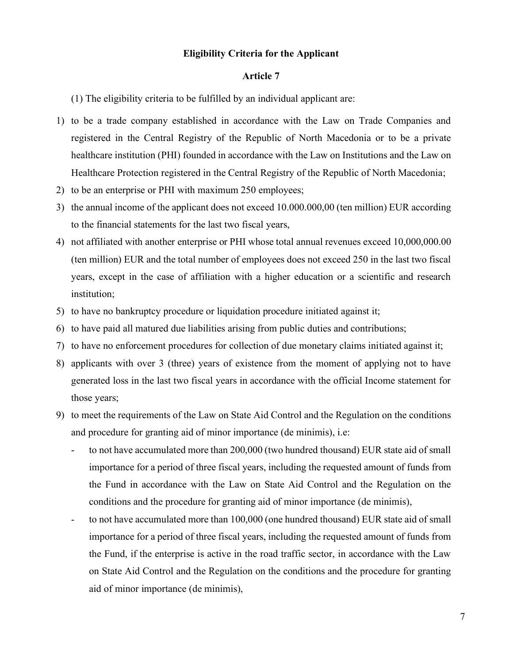## **Eligibility Criteria for the Applicant**

## **Article 7**

(1) The eligibility criteria to be fulfilled by an individual applicant are:

- 1) to be a trade company established in accordance with the Law on Trade Companies and registered in the Central Registry of the Republic of North Macedonia or to be a private healthcare institution (PHI) founded in accordance with the Law on Institutions and the Law on Healthcare Protection registered in the Central Registry of the Republic of North Macedonia;
- 2) to be an enterprise or PHI with maximum 250 employees;
- 3) the annual income of the applicant does not exceed 10.000.000,00 (ten million) EUR according to the financial statements for the last two fiscal years,
- 4) not affiliated with another enterprise or PHI whose total annual revenues exceed 10,000,000.00 (ten million) EUR and the total number of employees does not exceed 250 in the last two fiscal years, except in the case of affiliation with a higher education or a scientific and research institution;
- 5) to have no bankruptcy procedure or liquidation procedure initiated against it;
- 6) to have paid all matured due liabilities arising from public duties and contributions;
- 7) to have no enforcement procedures for collection of due monetary claims initiated against it;
- 8) applicants with over 3 (three) years of existence from the moment of applying not to have generated loss in the last two fiscal years in accordance with the official Income statement for those years;
- 9) to meet the requirements of the Law on State Aid Control and the Regulation on the conditions and procedure for granting aid of minor importance (de minimis), i.e:
	- to not have accumulated more than 200,000 (two hundred thousand) EUR state aid of small importance for a period of three fiscal years, including the requested amount of funds from the Fund in accordance with the Law on State Aid Control and the Regulation on the conditions and the procedure for granting aid of minor importance (de minimis),
	- to not have accumulated more than 100,000 (one hundred thousand) EUR state aid of small importance for a period of three fiscal years, including the requested amount of funds from the Fund, if the enterprise is active in the road traffic sector, in accordance with the Law on State Aid Control and the Regulation on the conditions and the procedure for granting aid of minor importance (de minimis),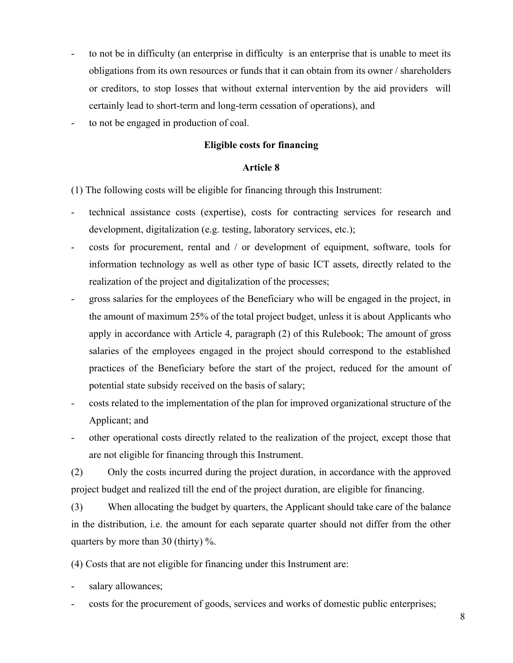- to not be in difficulty (an enterprise in difficulty is an enterprise that is unable to meet its obligations from its own resources or funds that it can obtain from its owner / shareholders or creditors, to stop losses that without external intervention by the aid providers will certainly lead to short-term and long-term cessation of operations), and
- to not be engaged in production of coal.

## **Eligible costs for financing**

## **Article 8**

(1) The following costs will be eligible for financing through this Instrument:

- technical assistance costs (expertise), costs for contracting services for research and development, digitalization (e.g. testing, laboratory services, etc.);
- costs for procurement, rental and / or development of equipment, software, tools for information technology as well as other type of basic ICT assets, directly related to the realization of the project and digitalization of the processes;
- gross salaries for the employees of the Beneficiary who will be engaged in the project, in the amount of maximum 25% of the total project budget, unless it is about Applicants who apply in accordance with Article 4, paragraph (2) of this Rulebook; The amount of gross salaries of the employees engaged in the project should correspond to the established practices of the Beneficiary before the start of the project, reduced for the amount of potential state subsidy received on the basis of salary;
- costs related to the implementation of the plan for improved organizational structure of the Applicant; and
- other operational costs directly related to the realization of the project, except those that are not eligible for financing through this Instrument.

(2) Only the costs incurred during the project duration, in accordance with the approved project budget and realized till the end of the project duration, are eligible for financing.

(3) When allocating the budget by quarters, the Applicant should take care of the balance in the distribution, i.e. the amount for each separate quarter should not differ from the other quarters by more than 30 (thirty) %.

(4) Costs that are not eligible for financing under this Instrument are:

salary allowances;

- costs for the procurement of goods, services and works of domestic public enterprises;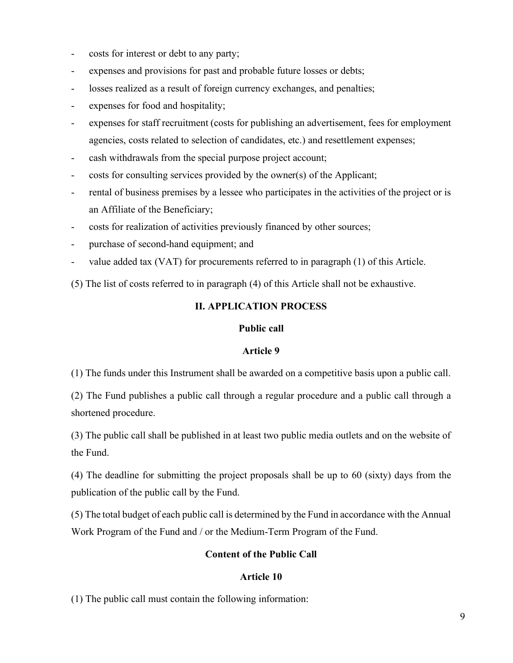- costs for interest or debt to any party;
- expenses and provisions for past and probable future losses or debts;
- losses realized as a result of foreign currency exchanges, and penalties;
- expenses for food and hospitality;
- expenses for staff recruitment (costs for publishing an advertisement, fees for employment agencies, costs related to selection of candidates, etc.) and resettlement expenses;
- cash withdrawals from the special purpose project account;
- costs for consulting services provided by the owner(s) of the Applicant;
- rental of business premises by a lessee who participates in the activities of the project or is an Affiliate of the Beneficiary;
- costs for realization of activities previously financed by other sources;
- purchase of second-hand equipment; and
- value added tax (VAT) for procurements referred to in paragraph (1) of this Article.

(5) The list of costs referred to in paragraph (4) of this Article shall not be exhaustive.

## **II. APPLICATION PROCESS**

## **Public call**

## **Article 9**

(1) The funds under this Instrument shall be awarded on a competitive basis upon a public call.

(2) The Fund publishes a public call through a regular procedure and a public call through a shortened procedure.

(3) The public call shall be published in at least two public media outlets and on the website of the Fund.

(4) The deadline for submitting the project proposals shall be up to 60 (sixty) days from the publication of the public call by the Fund.

(5) The total budget of each public call is determined by the Fund in accordance with the Annual Work Program of the Fund and / or the Medium-Term Program of the Fund.

## **Content of the Public Call**

## **Article 10**

(1) The public call must contain the following information: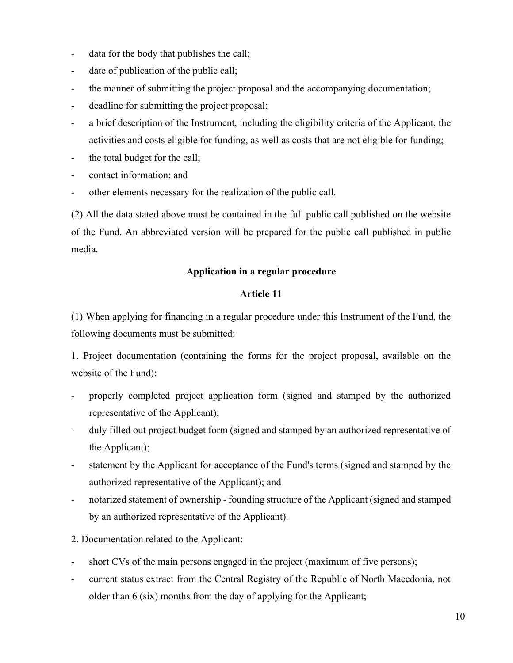- data for the body that publishes the call;
- date of publication of the public call;
- the manner of submitting the project proposal and the accompanying documentation;
- deadline for submitting the project proposal;
- a brief description of the Instrument, including the eligibility criteria of the Applicant, the activities and costs eligible for funding, as well as costs that are not eligible for funding;
- the total budget for the call;
- contact information; and
- other elements necessary for the realization of the public call.

(2) All the data stated above must be contained in the full public call published on the website of the Fund. An abbreviated version will be prepared for the public call published in public media.

## **Application in a regular procedure**

## **Article 11**

(1) When applying for financing in a regular procedure under this Instrument of the Fund, the following documents must be submitted:

1. Project documentation (containing the forms for the project proposal, available on the website of the Fund):

- properly completed project application form (signed and stamped by the authorized representative of the Applicant);
- duly filled out project budget form (signed and stamped by an authorized representative of the Applicant);
- statement by the Applicant for acceptance of the Fund's terms (signed and stamped by the authorized representative of the Applicant); and
- notarized statement of ownership founding structure of the Applicant (signed and stamped by an authorized representative of the Applicant).
- 2. Documentation related to the Applicant:
- short CVs of the main persons engaged in the project (maximum of five persons);
- current status extract from the Central Registry of the Republic of North Macedonia, not older than 6 (six) months from the day of applying for the Applicant;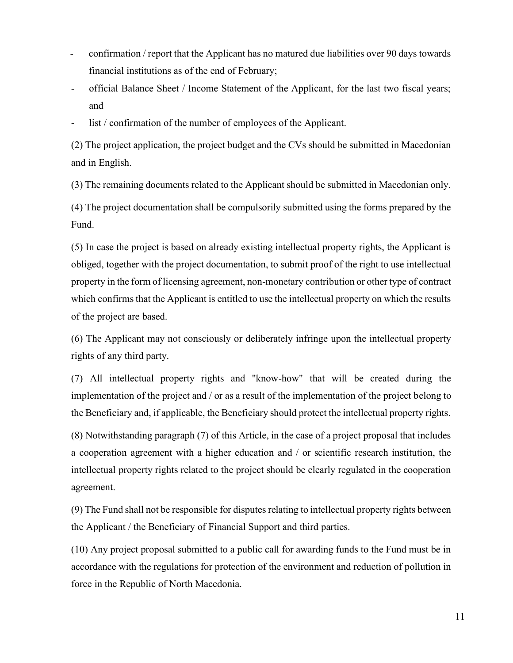- confirmation / report that the Applicant has no matured due liabilities over 90 days towards financial institutions as of the end of February;
- official Balance Sheet / Income Statement of the Applicant, for the last two fiscal years; and
- list / confirmation of the number of employees of the Applicant.

(2) The project application, the project budget and the CVs should be submitted in Macedonian and in English.

(3) The remaining documents related to the Applicant should be submitted in Macedonian only.

(4) The project documentation shall be compulsorily submitted using the forms prepared by the Fund.

(5) In case the project is based on already existing intellectual property rights, the Applicant is obliged, together with the project documentation, to submit proof of the right to use intellectual property in the form of licensing agreement, non-monetary contribution or other type of contract which confirms that the Applicant is entitled to use the intellectual property on which the results of the project are based.

(6) The Applicant may not consciously or deliberately infringe upon the intellectual property rights of any third party.

(7) All intellectual property rights and "know-how" that will be created during the implementation of the project and / or as a result of the implementation of the project belong to the Beneficiary and, if applicable, the Beneficiary should protect the intellectual property rights.

(8) Notwithstanding paragraph (7) of this Article, in the case of a project proposal that includes a cooperation agreement with a higher education and / or scientific research institution, the intellectual property rights related to the project should be clearly regulated in the cooperation agreement.

(9) The Fund shall not be responsible for disputes relating to intellectual property rights between the Applicant / the Beneficiary of Financial Support and third parties.

(10) Any project proposal submitted to a public call for awarding funds to the Fund must be in accordance with the regulations for protection of the environment and reduction of pollution in force in the Republic of North Macedonia.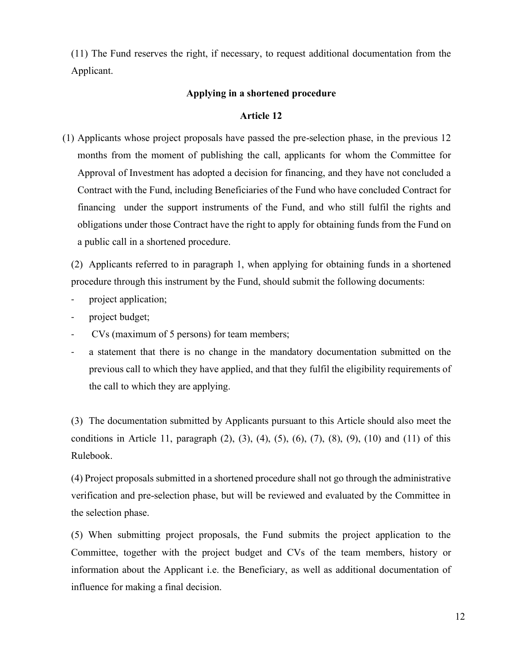(11) The Fund reserves the right, if necessary, to request additional documentation from the Applicant.

## **Applying in a shortened procedure**

## **Article 12**

(1) Applicants whose project proposals have passed the pre-selection phase, in the previous 12 months from the moment of publishing the call, applicants for whom the Committee for Approval of Investment has adopted a decision for financing, and they have not concluded a Contract with the Fund, including Beneficiaries of the Fund who have concluded Contract for financing under the support instruments of the Fund, and who still fulfil the rights and obligations under those Contract have the right to apply for obtaining funds from the Fund on a public call in a shortened procedure.

(2) Applicants referred to in paragraph 1, when applying for obtaining funds in a shortened procedure through this instrument by the Fund, should submit the following documents:

- project application;
- project budget;
- CVs (maximum of 5 persons) for team members;
- a statement that there is no change in the mandatory documentation submitted on the previous call to which they have applied, and that they fulfil the eligibility requirements of the call to which they are applying.

(3) The documentation submitted by Applicants pursuant to this Article should also meet the conditions in Article 11, paragraph  $(2)$ ,  $(3)$ ,  $(4)$ ,  $(5)$ ,  $(6)$ ,  $(7)$ ,  $(8)$ ,  $(9)$ ,  $(10)$  and  $(11)$  of this Rulebook.

(4) Project proposals submitted in a shortened procedure shall not go through the administrative verification and pre-selection phase, but will be reviewed and evaluated by the Committee in the selection phase.

(5) When submitting project proposals, the Fund submits the project application to the Committee, together with the project budget and CVs of the team members, history or information about the Applicant i.e. the Beneficiary, as well as additional documentation of influence for making a final decision.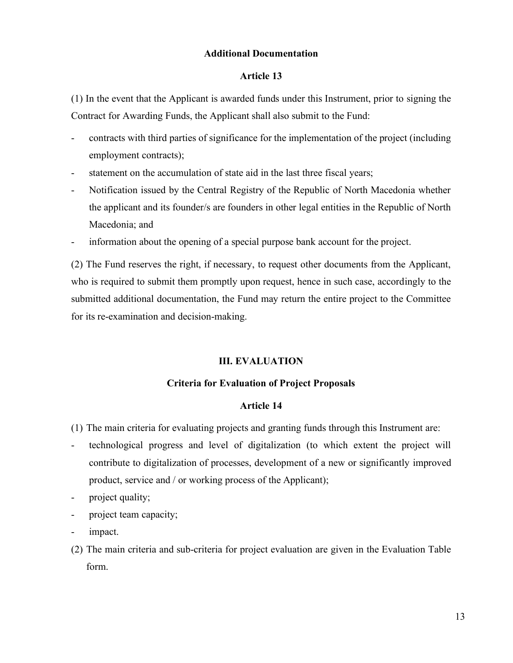## **Additional Documentation**

## **Article 13**

(1) In the event that the Applicant is awarded funds under this Instrument, prior to signing the Contract for Awarding Funds, the Applicant shall also submit to the Fund:

- contracts with third parties of significance for the implementation of the project (including employment contracts);
- statement on the accumulation of state aid in the last three fiscal years;
- Notification issued by the Central Registry of the Republic of North Macedonia whether the applicant and its founder/s are founders in other legal entities in the Republic of North Macedonia; and
- information about the opening of a special purpose bank account for the project.

(2) The Fund reserves the right, if necessary, to request other documents from the Applicant, who is required to submit them promptly upon request, hence in such case, accordingly to the submitted additional documentation, the Fund may return the entire project to the Committee for its re-examination and decision-making.

## **III. EVALUATION**

## **Criteria for Evaluation of Project Proposals**

## **Article 14**

- (1) The main criteria for evaluating projects and granting funds through this Instrument are:
- technological progress and level of digitalization (to which extent the project will contribute to digitalization of processes, development of a new or significantly improved product, service and / or working process of the Applicant);
- project quality;
- project team capacity;
- impact.
- (2) The main criteria and sub-criteria for project evaluation are given in the Evaluation Table form.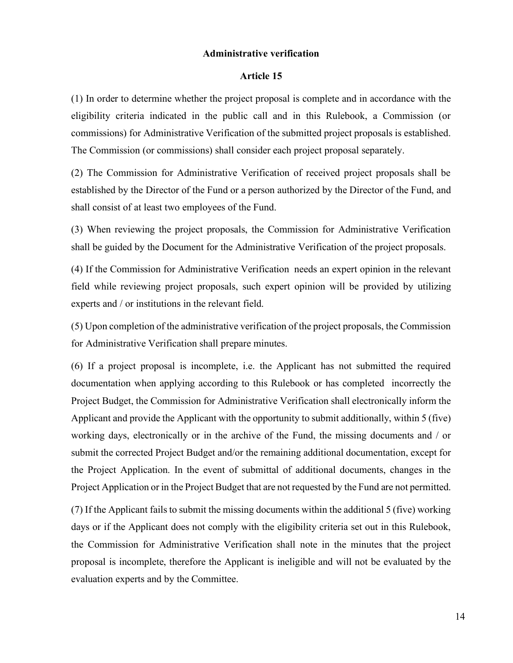#### **Administrative verification**

#### **Article 15**

(1) In order to determine whether the project proposal is complete and in accordance with the eligibility criteria indicated in the public call and in this Rulebook, a Commission (or commissions) for Administrative Verification of the submitted project proposals is established. The Commission (or commissions) shall consider each project proposal separately.

(2) The Commission for Administrative Verification of received project proposals shall be established by the Director of the Fund or a person authorized by the Director of the Fund, and shall consist of at least two employees of the Fund.

(3) When reviewing the project proposals, the Commission for Administrative Verification shall be guided by the Document for the Administrative Verification of the project proposals.

(4) If the Commission for Administrative Verification needs an expert opinion in the relevant field while reviewing project proposals, such expert opinion will be provided by utilizing experts and / or institutions in the relevant field.

(5) Upon completion of the administrative verification of the project proposals, the Commission for Administrative Verification shall prepare minutes.

(6) If a project proposal is incomplete, i.e. the Applicant has not submitted the required documentation when applying according to this Rulebook or has completed incorrectly the Project Budget, the Commission for Administrative Verification shall electronically inform the Applicant and provide the Applicant with the opportunity to submit additionally, within 5 (five) working days, electronically or in the archive of the Fund, the missing documents and / or submit the corrected Project Budget and/or the remaining additional documentation, except for the Project Application. In the event of submittal of additional documents, changes in the Project Application or in the Project Budget that are not requested by the Fund are not permitted.

(7) If the Applicant fails to submit the missing documents within the additional 5 (five) working days or if the Applicant does not comply with the eligibility criteria set out in this Rulebook, the Commission for Administrative Verification shall note in the minutes that the project proposal is incomplete, therefore the Applicant is ineligible and will not be evaluated by the evaluation experts and by the Committee.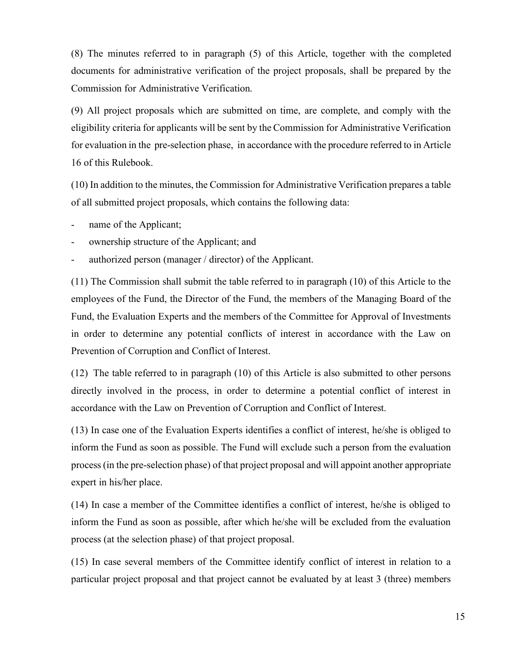(8) The minutes referred to in paragraph (5) of this Article, together with the completed documents for administrative verification of the project proposals, shall be prepared by the Commission for Administrative Verification.

(9) All project proposals which are submitted on time, are complete, and comply with the eligibility criteria for applicants will be sent by the Commission for Administrative Verification for evaluation in the pre-selection phase, in accordance with the procedure referred to in Article 16 of this Rulebook.

(10) In addition to the minutes, the Commission for Administrative Verification prepares a table of all submitted project proposals, which contains the following data:

- name of the Applicant;
- ownership structure of the Applicant; and
- authorized person (manager / director) of the Applicant.

(11) The Commission shall submit the table referred to in paragraph (10) of this Article to the employees of the Fund, the Director of the Fund, the members of the Managing Board of the Fund, the Evaluation Experts and the members of the Committee for Approval of Investments in order to determine any potential conflicts of interest in accordance with the Law on Prevention of Corruption and Conflict of Interest.

(12) The table referred to in paragraph (10) of this Article is also submitted to other persons directly involved in the process, in order to determine a potential conflict of interest in accordance with the Law on Prevention of Corruption and Conflict of Interest.

(13) In case one of the Evaluation Experts identifies a conflict of interest, he/she is obliged to inform the Fund as soon as possible. The Fund will exclude such a person from the evaluation process (in the pre-selection phase) of that project proposal and will appoint another appropriate expert in his/her place.

(14) In case a member of the Committee identifies a conflict of interest, he/she is obliged to inform the Fund as soon as possible, after which he/she will be excluded from the evaluation process (at the selection phase) of that project proposal.

(15) In case several members of the Committee identify conflict of interest in relation to a particular project proposal and that project cannot be evaluated by at least 3 (three) members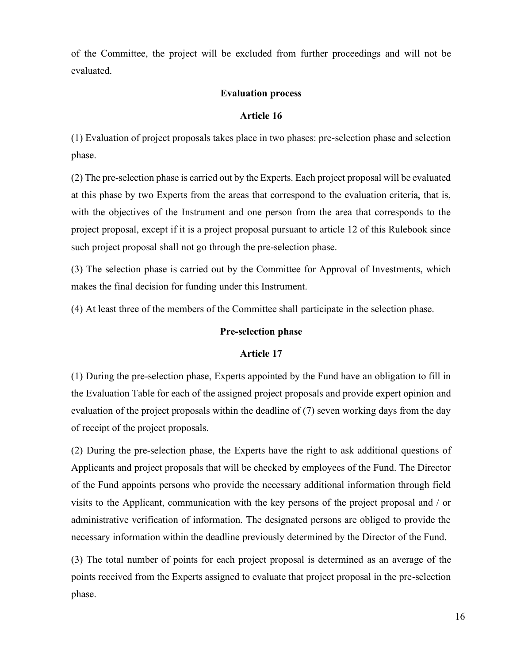of the Committee, the project will be excluded from further proceedings and will not be evaluated.

## **Evaluation process**

## **Article 16**

(1) Evaluation of project proposals takes place in two phases: pre-selection phase and selection phase.

(2) The pre-selection phase is carried out by the Experts. Each project proposal will be evaluated at this phase by two Experts from the areas that correspond to the evaluation criteria, that is, with the objectives of the Instrument and one person from the area that corresponds to the project proposal, except if it is a project proposal pursuant to article 12 of this Rulebook since such project proposal shall not go through the pre-selection phase.

(3) The selection phase is carried out by the Committee for Approval of Investments, which makes the final decision for funding under this Instrument.

(4) At least three of the members of the Committee shall participate in the selection phase.

## **Pre-selection phase**

#### **Article 17**

(1) During the pre-selection phase, Experts appointed by the Fund have an obligation to fill in the Evaluation Table for each of the assigned project proposals and provide expert opinion and evaluation of the project proposals within the deadline of (7) seven working days from the day of receipt of the project proposals.

(2) During the pre-selection phase, the Experts have the right to ask additional questions of Applicants and project proposals that will be checked by employees of the Fund. The Director of the Fund appoints persons who provide the necessary additional information through field visits to the Applicant, communication with the key persons of the project proposal and / or administrative verification of information. The designated persons are obliged to provide the necessary information within the deadline previously determined by the Director of the Fund.

(3) The total number of points for each project proposal is determined as an average of the points received from the Experts assigned to evaluate that project proposal in the pre-selection phase.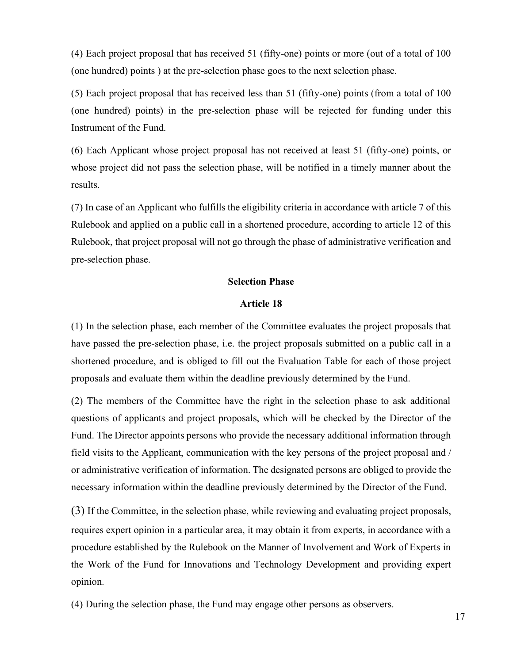(4) Each project proposal that has received 51 (fifty-one) points or more (out of a total of 100 (one hundred) points ) at the pre-selection phase goes to the next selection phase.

(5) Each project proposal that has received less than 51 (fifty-one) points (from a total of 100 (one hundred) points) in the pre-selection phase will be rejected for funding under this Instrument of the Fund.

(6) Each Applicant whose project proposal has not received at least 51 (fifty-one) points, or whose project did not pass the selection phase, will be notified in a timely manner about the results.

(7) In case of an Applicant who fulfills the eligibility criteria in accordance with article 7 of this Rulebook and applied on a public call in a shortened procedure, according to article 12 of this Rulebook, that project proposal will not go through the phase of administrative verification and pre-selection phase.

## **Selection Phase**

#### **Article 18**

(1) In the selection phase, each member of the Committee evaluates the project proposals that have passed the pre-selection phase, i.e. the project proposals submitted on a public call in a shortened procedure, and is obliged to fill out the Evaluation Table for each of those project proposals and evaluate them within the deadline previously determined by the Fund.

(2) The members of the Committee have the right in the selection phase to ask additional questions of applicants and project proposals, which will be checked by the Director of the Fund. The Director appoints persons who provide the necessary additional information through field visits to the Applicant, communication with the key persons of the project proposal and / or administrative verification of information. The designated persons are obliged to provide the necessary information within the deadline previously determined by the Director of the Fund.

(3) If the Committee, in the selection phase, while reviewing and evaluating project proposals, requires expert opinion in a particular area, it may obtain it from experts, in accordance with a procedure established by the Rulebook on the Manner of Involvement and Work of Experts in the Work of the Fund for Innovations and Technology Development and providing expert opinion.

(4) During the selection phase, the Fund may engage other persons as observers.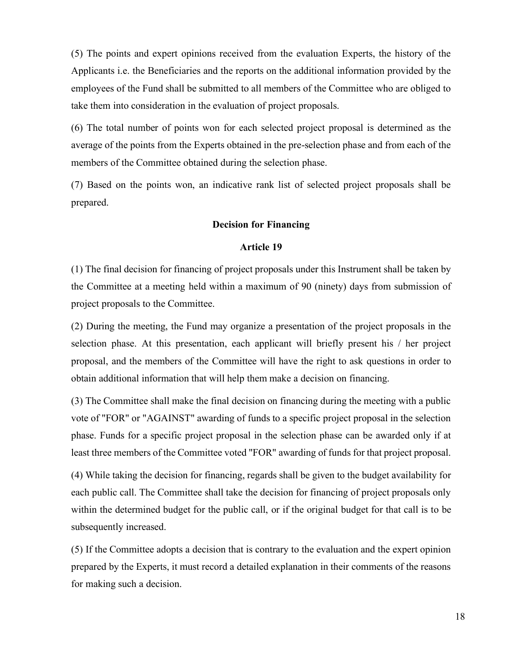(5) The points and expert opinions received from the evaluation Experts, the history of the Applicants i.e. the Beneficiaries and the reports on the additional information provided by the employees of the Fund shall be submitted to all members of the Committee who are obliged to take them into consideration in the evaluation of project proposals.

(6) The total number of points won for each selected project proposal is determined as the average of the points from the Experts obtained in the pre-selection phase and from each of the members of the Committee obtained during the selection phase.

(7) Based on the points won, an indicative rank list of selected project proposals shall be prepared.

## **Decision for Financing**

#### **Article 19**

(1) The final decision for financing of project proposals under this Instrument shall be taken by the Committee at a meeting held within a maximum of 90 (ninety) days from submission of project proposals to the Committee.

(2) During the meeting, the Fund may organize a presentation of the project proposals in the selection phase. At this presentation, each applicant will briefly present his / her project proposal, and the members of the Committee will have the right to ask questions in order to obtain additional information that will help them make a decision on financing.

(3) The Committee shall make the final decision on financing during the meeting with a public vote of "FOR" or "AGAINST" awarding of funds to a specific project proposal in the selection phase. Funds for a specific project proposal in the selection phase can be awarded only if at least three members of the Committee voted "FOR" awarding of funds for that project proposal.

(4) While taking the decision for financing, regards shall be given to the budget availability for each public call. The Committee shall take the decision for financing of project proposals only within the determined budget for the public call, or if the original budget for that call is to be subsequently increased.

(5) If the Committee adopts a decision that is contrary to the evaluation and the expert opinion prepared by the Experts, it must record a detailed explanation in their comments of the reasons for making such a decision.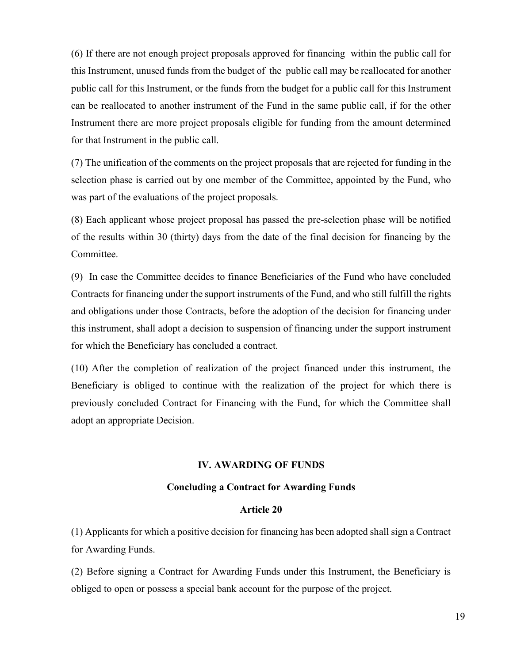(6) If there are not enough project proposals approved for financing within the public call for this Instrument, unused funds from the budget of the public call may be reallocated for another public call for this Instrument, or the funds from the budget for a public call for this Instrument can be reallocated to another instrument of the Fund in the same public call, if for the other Instrument there are more project proposals eligible for funding from the amount determined for that Instrument in the public call.

(7) The unification of the comments on the project proposals that are rejected for funding in the selection phase is carried out by one member of the Committee, appointed by the Fund, who was part of the evaluations of the project proposals.

(8) Each applicant whose project proposal has passed the pre-selection phase will be notified of the results within 30 (thirty) days from the date of the final decision for financing by the Committee.

(9) In case the Committee decides to finance Beneficiaries of the Fund who have concluded Contracts for financing under the support instruments of the Fund, and who still fulfill the rights and obligations under those Contracts, before the adoption of the decision for financing under this instrument, shall adopt a decision to suspension of financing under the support instrument for which the Beneficiary has concluded a contract.

(10) After the completion of realization of the project financed under this instrument, the Beneficiary is obliged to continue with the realization of the project for which there is previously concluded Contract for Financing with the Fund, for which the Committee shall adopt an appropriate Decision.

#### **IV. AWARDING OF FUNDS**

#### **Concluding a Contract for Awarding Funds**

#### **Article 20**

(1) Applicants for which a positive decision for financing has been adopted shall sign a Contract for Awarding Funds.

(2) Before signing a Contract for Awarding Funds under this Instrument, the Beneficiary is obliged to open or possess a special bank account for the purpose of the project.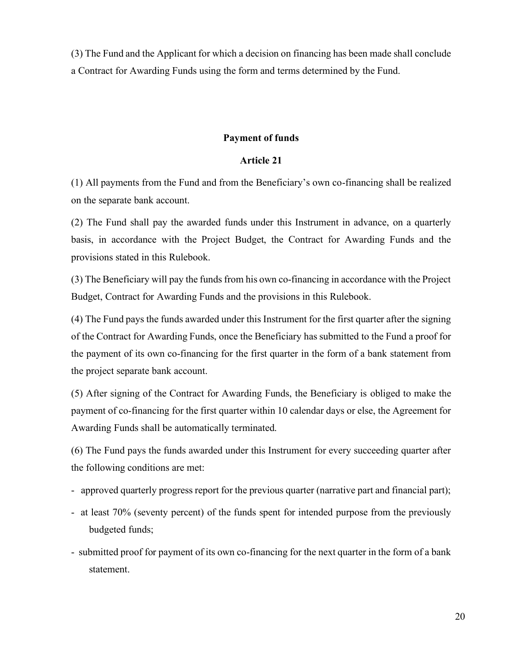(3) The Fund and the Applicant for which a decision on financing has been made shall conclude a Contract for Awarding Funds using the form and terms determined by the Fund.

## **Payment of funds**

## **Article 21**

(1) All payments from the Fund and from the Beneficiary's own co-financing shall be realized on the separate bank account.

(2) The Fund shall pay the awarded funds under this Instrument in advance, on a quarterly basis, in accordance with the Project Budget, the Contract for Awarding Funds and the provisions stated in this Rulebook.

(3) The Beneficiary will pay the funds from his own co-financing in accordance with the Project Budget, Contract for Awarding Funds and the provisions in this Rulebook.

(4) The Fund pays the funds awarded under this Instrument for the first quarter after the signing of the Contract for Awarding Funds, once the Beneficiary has submitted to the Fund a proof for the payment of its own co-financing for the first quarter in the form of a bank statement from the project separate bank account.

(5) After signing of the Contract for Awarding Funds, the Beneficiary is obliged to make the payment of co-financing for the first quarter within 10 calendar days or else, the Agreement for Awarding Funds shall be automatically terminated.

(6) The Fund pays the funds awarded under this Instrument for every succeeding quarter after the following conditions are met:

- approved quarterly progress report for the previous quarter (narrative part and financial part);
- at least 70% (seventy percent) of the funds spent for intended purpose from the previously budgeted funds;
- submitted proof for payment of its own co-financing for the next quarter in the form of a bank statement.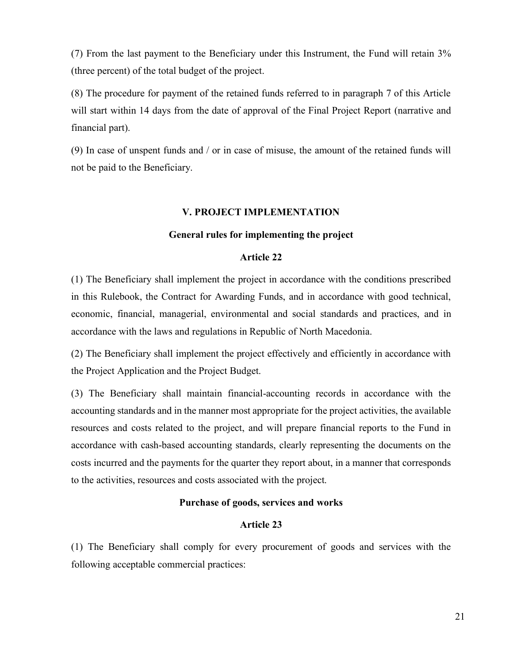(7) From the last payment to the Beneficiary under this Instrument, the Fund will retain 3% (three percent) of the total budget of the project.

(8) The procedure for payment of the retained funds referred to in paragraph 7 of this Article will start within 14 days from the date of approval of the Final Project Report (narrative and financial part).

(9) In case of unspent funds and / or in case of misuse, the amount of the retained funds will not be paid to the Beneficiary.

## **V. PROJECT IMPLEMENTATION**

#### **General rules for implementing the project**

## **Article 22**

(1) The Beneficiary shall implement the project in accordance with the conditions prescribed in this Rulebook, the Contract for Awarding Funds, and in accordance with good technical, economic, financial, managerial, environmental and social standards and practices, and in accordance with the laws and regulations in Republic of North Macedonia.

(2) The Beneficiary shall implement the project effectively and efficiently in accordance with the Project Application and the Project Budget.

(3) The Beneficiary shall maintain financial-accounting records in accordance with the accounting standards and in the manner most appropriate for the project activities, the available resources and costs related to the project, and will prepare financial reports to the Fund in accordance with cash-based accounting standards, clearly representing the documents on the costs incurred and the payments for the quarter they report about, in a manner that corresponds to the activities, resources and costs associated with the project.

## **Purchase of goods, services and works**

## **Article 23**

(1) The Beneficiary shall comply for every procurement of goods and services with the following acceptable commercial practices: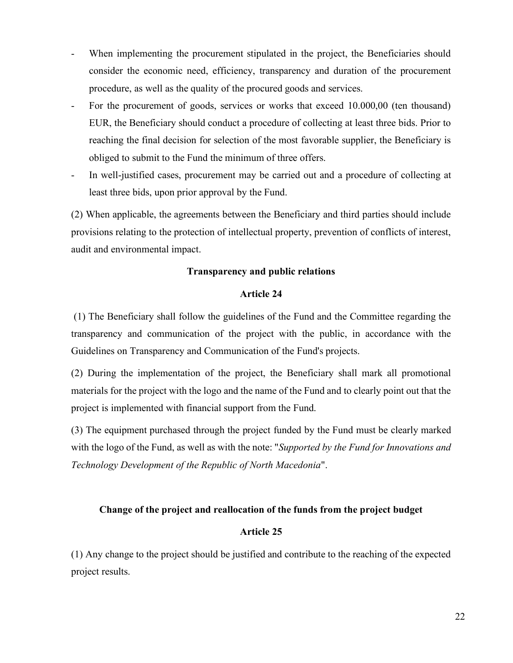- When implementing the procurement stipulated in the project, the Beneficiaries should consider the economic need, efficiency, transparency and duration of the procurement procedure, as well as the quality of the procured goods and services.
- For the procurement of goods, services or works that exceed 10.000,00 (ten thousand) EUR, the Beneficiary should conduct a procedure of collecting at least three bids. Prior to reaching the final decision for selection of the most favorable supplier, the Beneficiary is obliged to submit to the Fund the minimum of three offers.
- In well-justified cases, procurement may be carried out and a procedure of collecting at least three bids, upon prior approval by the Fund.

(2) When applicable, the agreements between the Beneficiary and third parties should include provisions relating to the protection of intellectual property, prevention of conflicts of interest, audit and environmental impact.

## **Transparency and public relations**

## **Article 24**

(1) The Beneficiary shall follow the guidelines of the Fund and the Committee regarding the transparency and communication of the project with the public, in accordance with the Guidelines on Transparency and Communication of the Fund's projects.

(2) During the implementation of the project, the Beneficiary shall mark all promotional materials for the project with the logo and the name of the Fund and to clearly point out that the project is implemented with financial support from the Fund.

(3) The equipment purchased through the project funded by the Fund must be clearly marked with the logo of the Fund, as well as with the note: "*Supported by the Fund for Innovations and Technology Development of the Republic of North Macedonia*".

## **Change of the project and reallocation of the funds from the project budget**

## **Article 25**

(1) Any change to the project should be justified and contribute to the reaching of the expected project results.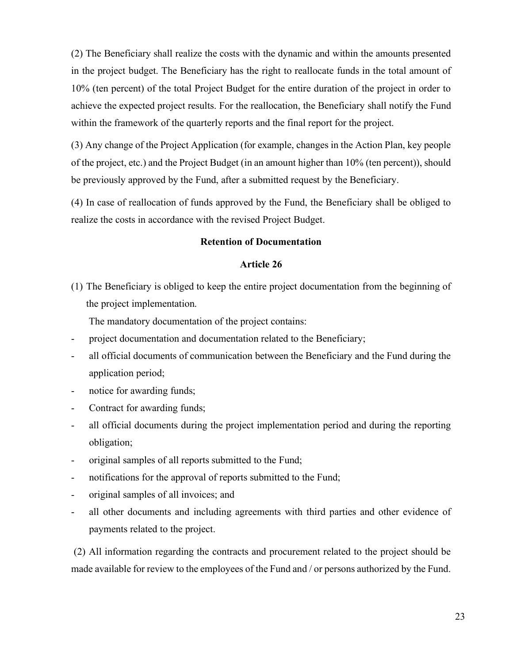(2) The Beneficiary shall realize the costs with the dynamic and within the amounts presented in the project budget. The Beneficiary has the right to reallocate funds in the total amount of 10% (ten percent) of the total Project Budget for the entire duration of the project in order to achieve the expected project results. For the reallocation, the Beneficiary shall notify the Fund within the framework of the quarterly reports and the final report for the project.

(3) Any change of the Project Application (for example, changes in the Action Plan, key people of the project, etc.) and the Project Budget (in an amount higher than 10% (ten percent)), should be previously approved by the Fund, after a submitted request by the Beneficiary.

(4) In case of reallocation of funds approved by the Fund, the Beneficiary shall be obliged to realize the costs in accordance with the revised Project Budget.

## **Retention of Documentation**

## **Article 26**

(1) The Beneficiary is obliged to keep the entire project documentation from the beginning of the project implementation.

The mandatory documentation of the project contains:

- project documentation and documentation related to the Beneficiary;
- all official documents of communication between the Beneficiary and the Fund during the application period;
- notice for awarding funds;
- Contract for awarding funds;
- all official documents during the project implementation period and during the reporting obligation;
- original samples of all reports submitted to the Fund;
- notifications for the approval of reports submitted to the Fund;
- original samples of all invoices; and
- all other documents and including agreements with third parties and other evidence of payments related to the project.

(2) All information regarding the contracts and procurement related to the project should be made available for review to the employees of the Fund and / or persons authorized by the Fund.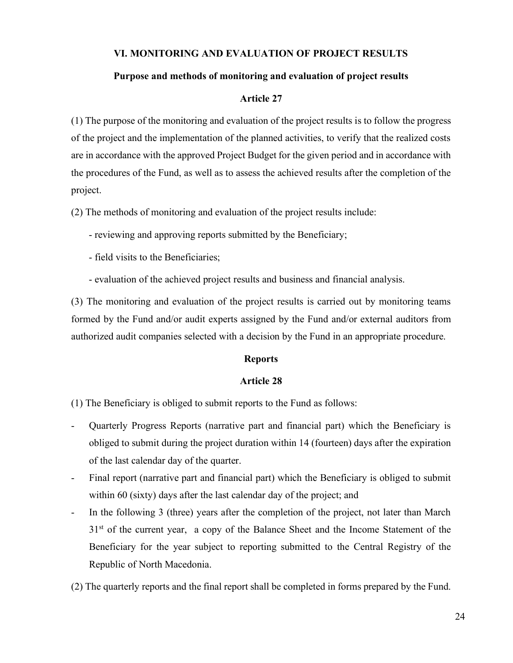## **VI. MONITORING AND EVALUATION OF PROJECT RESULTS**

## **Purpose and methods of monitoring and evaluation of project results**

## **Article 27**

(1) The purpose of the monitoring and evaluation of the project results is to follow the progress of the project and the implementation of the planned activities, to verify that the realized costs are in accordance with the approved Project Budget for the given period and in accordance with the procedures of the Fund, as well as to assess the achieved results after the completion of the project.

(2) The methods of monitoring and evaluation of the project results include:

- reviewing and approving reports submitted by the Beneficiary;
- field visits to the Beneficiaries;
- evaluation of the achieved project results and business and financial analysis.

(3) The monitoring and evaluation of the project results is carried out by monitoring teams formed by the Fund and/or audit experts assigned by the Fund and/or external auditors from authorized audit companies selected with a decision by the Fund in an appropriate procedure.

## **Reports**

## **Article 28**

(1) The Beneficiary is obliged to submit reports to the Fund as follows:

- Quarterly Progress Reports (narrative part and financial part) which the Beneficiary is obliged to submit during the project duration within 14 (fourteen) days after the expiration of the last calendar day of the quarter.
- Final report (narrative part and financial part) which the Beneficiary is obliged to submit within 60 (sixty) days after the last calendar day of the project; and
- In the following 3 (three) years after the completion of the project, not later than March 31<sup>st</sup> of the current year, a copy of the Balance Sheet and the Income Statement of the Beneficiary for the year subject to reporting submitted to the Central Registry of the Republic of North Macedonia.
- (2) The quarterly reports and the final report shall be completed in forms prepared by the Fund.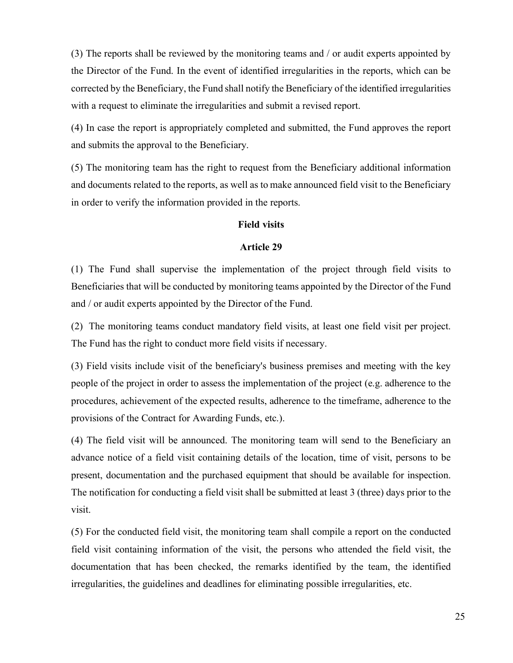(3) The reports shall be reviewed by the monitoring teams and / or audit experts appointed by the Director of the Fund. In the event of identified irregularities in the reports, which can be corrected by the Beneficiary, the Fund shall notify the Beneficiary of the identified irregularities with a request to eliminate the irregularities and submit a revised report.

(4) In case the report is appropriately completed and submitted, the Fund approves the report and submits the approval to the Beneficiary.

(5) The monitoring team has the right to request from the Beneficiary additional information and documents related to the reports, as well as to make announced field visit to the Beneficiary in order to verify the information provided in the reports.

#### **Field visits**

#### **Article 29**

(1) The Fund shall supervise the implementation of the project through field visits to Beneficiaries that will be conducted by monitoring teams appointed by the Director of the Fund and / or audit experts appointed by the Director of the Fund.

(2) The monitoring teams conduct mandatory field visits, at least one field visit per project. The Fund has the right to conduct more field visits if necessary.

(3) Field visits include visit of the beneficiary's business premises and meeting with the key people of the project in order to assess the implementation of the project (e.g. adherence to the procedures, achievement of the expected results, adherence to the timeframe, adherence to the provisions of the Contract for Awarding Funds, etc.).

(4) The field visit will be announced. The monitoring team will send to the Beneficiary an advance notice of a field visit containing details of the location, time of visit, persons to be present, documentation and the purchased equipment that should be available for inspection. The notification for conducting a field visit shall be submitted at least 3 (three) days prior to the visit.

(5) For the conducted field visit, the monitoring team shall compile a report on the conducted field visit containing information of the visit, the persons who attended the field visit, the documentation that has been checked, the remarks identified by the team, the identified irregularities, the guidelines and deadlines for eliminating possible irregularities, etc.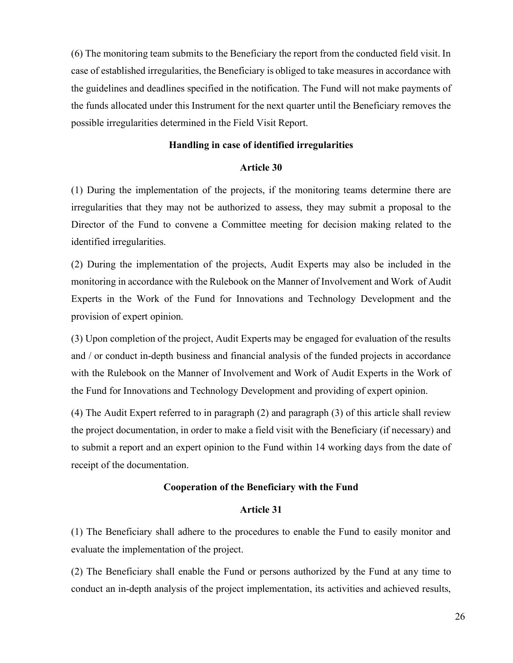(6) The monitoring team submits to the Beneficiary the report from the conducted field visit. In case of established irregularities, the Beneficiary is obliged to take measures in accordance with the guidelines and deadlines specified in the notification. The Fund will not make payments of the funds allocated under this Instrument for the next quarter until the Beneficiary removes the possible irregularities determined in the Field Visit Report.

## **Handling in case of identified irregularities**

## **Article 30**

(1) During the implementation of the projects, if the monitoring teams determine there are irregularities that they may not be authorized to assess, they may submit a proposal to the Director of the Fund to convene a Committee meeting for decision making related to the identified irregularities.

(2) During the implementation of the projects, Audit Experts may also be included in the monitoring in accordance with the Rulebook on the Manner of Involvement and Work of Audit Experts in the Work of the Fund for Innovations and Technology Development and the provision of expert opinion.

(3) Upon completion of the project, Audit Experts may be engaged for evaluation of the results and / or conduct in-depth business and financial analysis of the funded projects in accordance with the Rulebook on the Manner of Involvement and Work of Audit Experts in the Work of the Fund for Innovations and Technology Development and providing of expert opinion.

(4) The Audit Expert referred to in paragraph (2) and paragraph (3) of this article shall review the project documentation, in order to make a field visit with the Beneficiary (if necessary) and to submit a report and an expert opinion to the Fund within 14 working days from the date of receipt of the documentation.

#### **Cooperation of the Beneficiary with the Fund**

#### **Article 31**

(1) The Beneficiary shall adhere to the procedures to enable the Fund to easily monitor and evaluate the implementation of the project.

(2) The Beneficiary shall enable the Fund or persons authorized by the Fund at any time to conduct an in-depth analysis of the project implementation, its activities and achieved results,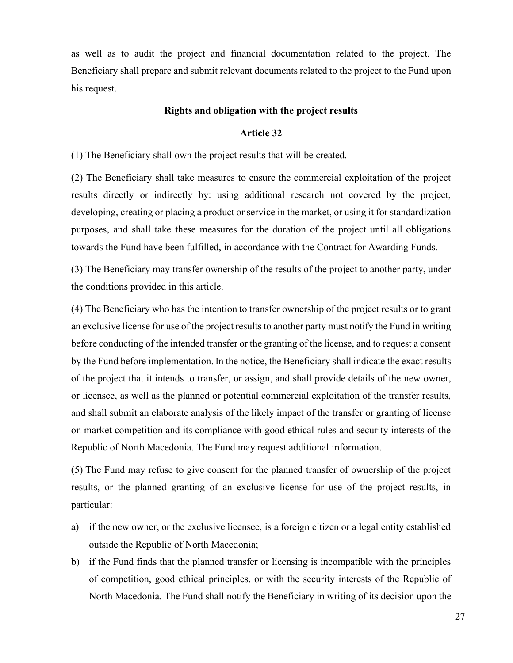as well as to audit the project and financial documentation related to the project. The Beneficiary shall prepare and submit relevant documents related to the project to the Fund upon his request.

## **Rights and obligation with the project results**

## **Article 32**

(1) The Beneficiary shall own the project results that will be created.

(2) The Beneficiary shall take measures to ensure the commercial exploitation of the project results directly or indirectly by: using additional research not covered by the project, developing, creating or placing a product or service in the market, or using it for standardization purposes, and shall take these measures for the duration of the project until all obligations towards the Fund have been fulfilled, in accordance with the Contract for Awarding Funds.

(3) The Beneficiary may transfer ownership of the results of the project to another party, under the conditions provided in this article.

(4) The Beneficiary who has the intention to transfer ownership of the project results or to grant an exclusive license for use of the project results to another party must notify the Fund in writing before conducting of the intended transfer or the granting of the license, and to request a consent by the Fund before implementation. In the notice, the Beneficiary shall indicate the exact results of the project that it intends to transfer, or assign, and shall provide details of the new owner, or licensee, as well as the planned or potential commercial exploitation of the transfer results, and shall submit an elaborate analysis of the likely impact of the transfer or granting of license on market competition and its compliance with good ethical rules and security interests of the Republic of North Macedonia. The Fund may request additional information.

(5) The Fund may refuse to give consent for the planned transfer of ownership of the project results, or the planned granting of an exclusive license for use of the project results, in particular:

- a) if the new owner, or the exclusive licensee, is a foreign citizen or a legal entity established outside the Republic of North Macedonia;
- b) if the Fund finds that the planned transfer or licensing is incompatible with the principles of competition, good ethical principles, or with the security interests of the Republic of North Macedonia. The Fund shall notify the Beneficiary in writing of its decision upon the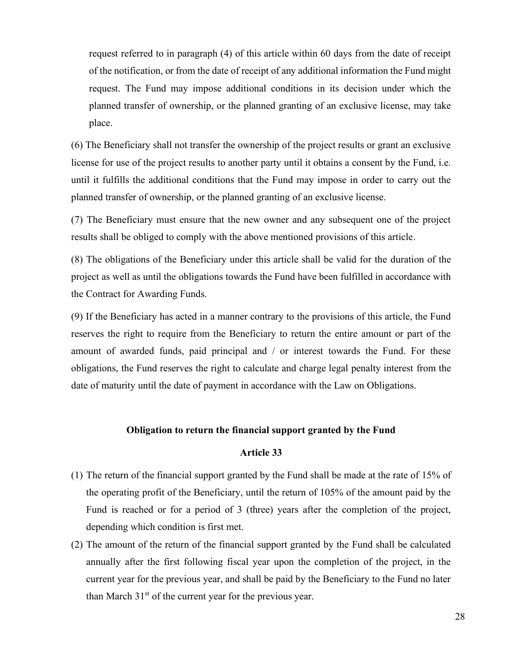request referred to in paragraph (4) of this article within 60 days from the date of receipt of the notification, or from the date of receipt of any additional information the Fund might request. The Fund may impose additional conditions in its decision under which the planned transfer of ownership, or the planned granting of an exclusive license, may take place.

(6) The Beneficiary shall not transfer the ownership of the project results or grant an exclusive license for use of the project results to another party until it obtains a consent by the Fund, i.e. until it fulfills the additional conditions that the Fund may impose in order to carry out the planned transfer of ownership, or the planned granting of an exclusive license.

(7) The Beneficiary must ensure that the new owner and any subsequent one of the project results shall be obliged to comply with the above mentioned provisions of this article.

(8) The obligations of the Beneficiary under this article shall be valid for the duration of the project as well as until the obligations towards the Fund have been fulfilled in accordance with the Contract for Awarding Funds.

(9) If the Beneficiary has acted in a manner contrary to the provisions of this article, the Fund reserves the right to require from the Beneficiary to return the entire amount or part of the amount of awarded funds, paid principal and / or interest towards the Fund. For these obligations, the Fund reserves the right to calculate and charge legal penalty interest from the date of maturity until the date of payment in accordance with the Law on Obligations.

#### **Obligation to return the financial support granted by the Fund**

## **Article 33**

- (1) The return of the financial support granted by the Fund shall be made at the rate of 15% of the operating profit of the Beneficiary, until the return of 105% of the amount paid by the Fund is reached or for a period of 3 (three) years after the completion of the project, depending which condition is first met.
- (2) The amount of the return of the financial support granted by the Fund shall be calculated annually after the first following fiscal year upon the completion of the project, in the current year for the previous year, and shall be paid by the Beneficiary to the Fund no later than March  $31<sup>st</sup>$  of the current year for the previous year.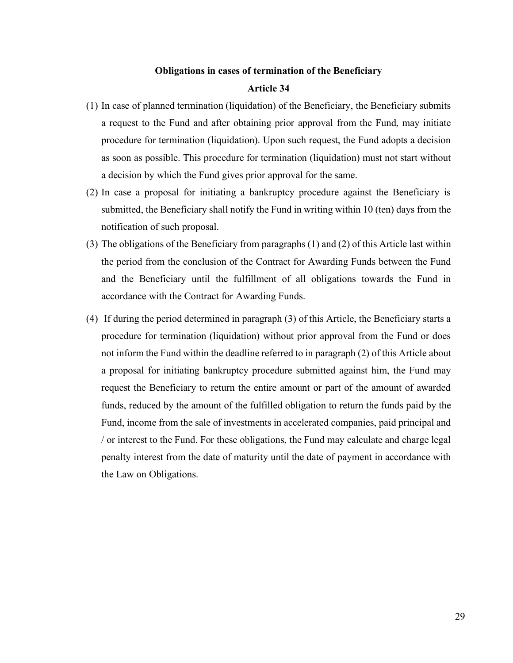# **Obligations in cases of termination of the Beneficiary Article 34**

- (1) In case of planned termination (liquidation) of the Beneficiary, the Beneficiary submits a request to the Fund and after obtaining prior approval from the Fund, may initiate procedure for termination (liquidation). Upon such request, the Fund adopts a decision as soon as possible. This procedure for termination (liquidation) must not start without a decision by which the Fund gives prior approval for the same.
- (2) In case a proposal for initiating a bankruptcy procedure against the Beneficiary is submitted, the Beneficiary shall notify the Fund in writing within 10 (ten) days from the notification of such proposal.
- (3) The obligations of the Beneficiary from paragraphs (1) and (2) of this Article last within the period from the conclusion of the Contract for Awarding Funds between the Fund and the Beneficiary until the fulfillment of all obligations towards the Fund in accordance with the Contract for Awarding Funds.
- (4) If during the period determined in paragraph (3) of this Article, the Beneficiary starts a procedure for termination (liquidation) without prior approval from the Fund or does not inform the Fund within the deadline referred to in paragraph (2) of this Article about a proposal for initiating bankruptcy procedure submitted against him, the Fund may request the Beneficiary to return the entire amount or part of the amount of awarded funds, reduced by the amount of the fulfilled obligation to return the funds paid by the Fund, income from the sale of investments in accelerated companies, paid principal and / or interest to the Fund. For these obligations, the Fund may calculate and charge legal penalty interest from the date of maturity until the date of payment in accordance with the Law on Obligations.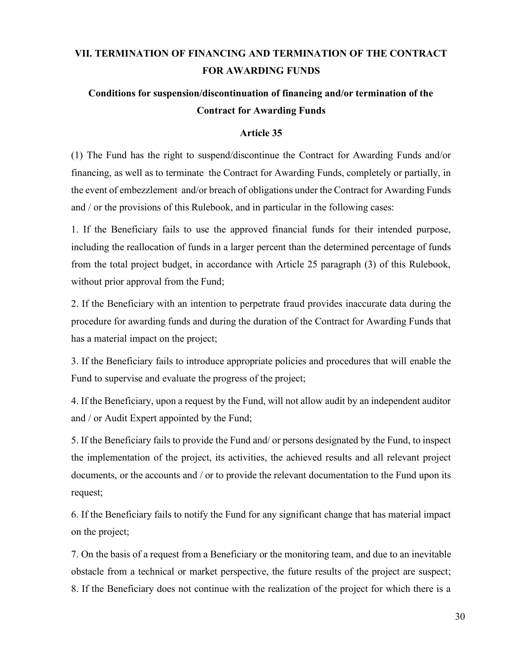# **VII. TERMINATION OF FINANCING AND TERMINATION OF THE CONTRACT FOR AWARDING FUNDS**

## **Conditions for suspension/discontinuation of financing and/or termination of the Contract for Awarding Funds**

## **Article 35**

(1) The Fund has the right to suspend/discontinue the Contract for Awarding Funds and/or financing, as well as to terminate the Contract for Awarding Funds, completely or partially, in the event of embezzlement and/or breach of obligations under the Contract for Awarding Funds and / or the provisions of this Rulebook, and in particular in the following cases:

1. If the Beneficiary fails to use the approved financial funds for their intended purpose, including the reallocation of funds in a larger percent than the determined percentage of funds from the total project budget, in accordance with Article 25 paragraph (3) of this Rulebook, without prior approval from the Fund;

2. If the Beneficiary with an intention to perpetrate fraud provides inaccurate data during the procedure for awarding funds and during the duration of the Contract for Awarding Funds that has a material impact on the project;

3. If the Beneficiary fails to introduce appropriate policies and procedures that will enable the Fund to supervise and evaluate the progress of the project;

4. If the Beneficiary, upon a request by the Fund, will not allow audit by an independent auditor and / or Audit Expert appointed by the Fund;

5. If the Beneficiary fails to provide the Fund and/ or persons designated by the Fund, to inspect the implementation of the project, its activities, the achieved results and all relevant project documents, or the accounts and / or to provide the relevant documentation to the Fund upon its request;

6. If the Beneficiary fails to notify the Fund for any significant change that has material impact on the project;

7. On the basis of a request from a Beneficiary or the monitoring team, and due to an inevitable obstacle from a technical or market perspective, the future results of the project are suspect; 8. If the Beneficiary does not continue with the realization of the project for which there is a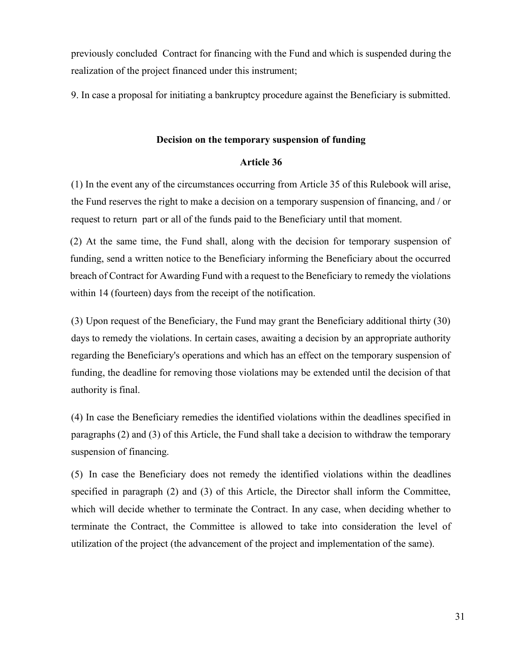previously concluded Contract for financing with the Fund and which is suspended during the realization of the project financed under this instrument;

9. In case a proposal for initiating a bankruptcy procedure against the Beneficiary is submitted.

## **Decision on the temporary suspension of funding**

## **Article 36**

(1) In the event any of the circumstances occurring from Article 35 of this Rulebook will arise, the Fund reserves the right to make a decision on a temporary suspension of financing, and / or request to return part or all of the funds paid to the Beneficiary until that moment.

(2) At the same time, the Fund shall, along with the decision for temporary suspension of funding, send a written notice to the Beneficiary informing the Beneficiary about the occurred breach of Contract for Awarding Fund with a request to the Beneficiary to remedy the violations within 14 (fourteen) days from the receipt of the notification.

(3) Upon request of the Beneficiary, the Fund may grant the Beneficiary additional thirty (30) days to remedy the violations. In certain cases, awaiting a decision by an appropriate authority regarding the Beneficiary's operations and which has an effect on the temporary suspension of funding, the deadline for removing those violations may be extended until the decision of that authority is final.

(4) In case the Beneficiary remedies the identified violations within the deadlines specified in paragraphs (2) and (3) of this Article, the Fund shall take a decision to withdraw the temporary suspension of financing.

(5) In case the Beneficiary does not remedy the identified violations within the deadlines specified in paragraph (2) and (3) of this Article, the Director shall inform the Committee, which will decide whether to terminate the Contract. In any case, when deciding whether to terminate the Contract, the Committee is allowed to take into consideration the level of utilization of the project (the advancement of the project and implementation of the same).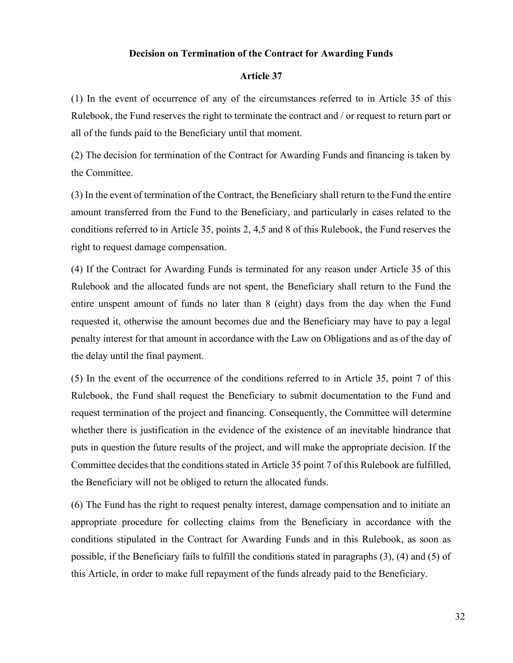#### **Decision on Termination of the Contract for Awarding Funds**

#### **Article 37**

(1) In the event of occurrence of any of the circumstances referred to in Article 35 of this Rulebook, the Fund reserves the right to terminate the contract and / or request to return part or all of the funds paid to the Beneficiary until that moment.

(2) The decision for termination of the Contract for Awarding Funds and financing is taken by the Committee.

(3) In the event of termination of the Contract, the Beneficiary shall return to the Fund the entire amount transferred from the Fund to the Beneficiary, and particularly in cases related to the conditions referred to in Article 35, points 2, 4,5 and 8 of this Rulebook, the Fund reserves the right to request damage compensation.

(4) If the Contract for Awarding Funds is terminated for any reason under Article 35 of this Rulebook and the allocated funds are not spent, the Beneficiary shall return to the Fund the entire unspent amount of funds no later than 8 (eight) days from the day when the Fund requested it, otherwise the amount becomes due and the Beneficiary may have to pay a legal penalty interest for that amount in accordance with the Law on Obligations and as of the day of the delay until the final payment.

(5) In the event of the occurrence of the conditions referred to in Article 35, point 7 of this Rulebook, the Fund shall request the Beneficiary to submit documentation to the Fund and request termination of the project and financing. Consequently, the Committee will determine whether there is justification in the evidence of the existence of an inevitable hindrance that puts in question the future results of the project, and will make the appropriate decision. If the Committee decides that the conditions stated in Article 35 point 7 of this Rulebook are fulfilled, the Beneficiary will not be obliged to return the allocated funds.

(6) The Fund has the right to request penalty interest, damage compensation and to initiate an appropriate procedure for collecting claims from the Beneficiary in accordance with the conditions stipulated in the Contract for Awarding Funds and in this Rulebook, as soon as possible, if the Beneficiary fails to fulfill the conditions stated in paragraphs (3), (4) and (5) of this Article, in order to make full repayment of the funds already paid to the Beneficiary.